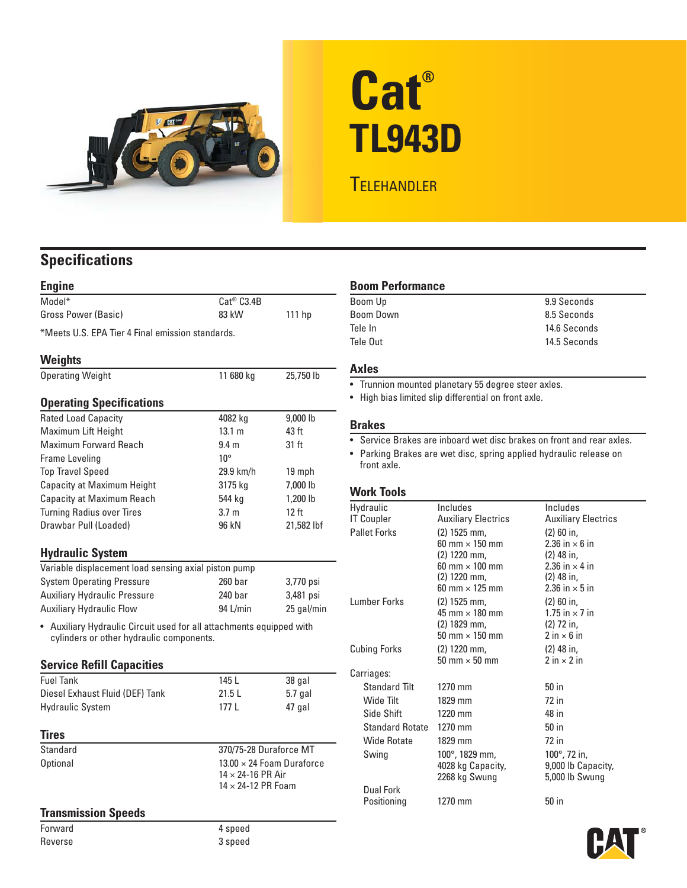

# **Cat® TL943D**

# **TELEHANDLER**

# **Specifications**

| <b>Engine</b>                                    |                  |            | <b>Boom Performance</b>                                               |                                                           |                                                     |  |
|--------------------------------------------------|------------------|------------|-----------------------------------------------------------------------|-----------------------------------------------------------|-----------------------------------------------------|--|
| Model*                                           | $Cat^@$ $C3.4B$  |            | Boom Up                                                               |                                                           | 9.9 Seconds                                         |  |
| Gross Power (Basic)                              | 83 kW            | 111 hp     | <b>Boom Down</b>                                                      |                                                           | 8.5 Seconds                                         |  |
| *Meets U.S. EPA Tier 4 Final emission standards. |                  |            | Tele In                                                               |                                                           | 14.6 Seconds                                        |  |
|                                                  |                  |            | Tele Out                                                              |                                                           | 14.5 Seconds                                        |  |
| <b>Weights</b>                                   |                  |            |                                                                       |                                                           |                                                     |  |
| <b>Operating Weight</b>                          | 11 680 kg        | 25,750 lb  | <b>Axles</b>                                                          |                                                           |                                                     |  |
|                                                  |                  |            | • Trunnion mounted planetary 55 degree steer axles.                   |                                                           |                                                     |  |
| <b>Operating Specifications</b>                  |                  |            |                                                                       | • High bias limited slip differential on front axle.      |                                                     |  |
| <b>Rated Load Capacity</b>                       | 4082 kg          | 9,000 lb   | <b>Brakes</b>                                                         |                                                           |                                                     |  |
| Maximum Lift Height                              | 13.1 m           | 43 ft      |                                                                       |                                                           |                                                     |  |
| Maximum Forward Reach                            | 9.4 <sub>m</sub> | 31 ft      | • Service Brakes are inboard wet disc brakes on front and rear axles. |                                                           |                                                     |  |
| Frame Leveling                                   | $10^{\circ}$     |            | Parking Brakes are wet disc, spring applied hydraulic release on      |                                                           |                                                     |  |
| <b>Top Travel Speed</b>                          | 29.9 km/h        | 19 mph     | front axle.                                                           |                                                           |                                                     |  |
| Capacity at Maximum Height                       | 3175 kg          | 7,000 lb   |                                                                       |                                                           |                                                     |  |
| <b>Capacity at Maximum Reach</b>                 | 544 kg           | 1,200 lb   | <b>Work Tools</b>                                                     |                                                           |                                                     |  |
| <b>Turning Radius over Tires</b>                 | 3.7 <sub>m</sub> | 12 ft      | Hydraulic                                                             | Includes                                                  | Includes                                            |  |
| Drawbar Pull (Loaded)                            | 96 kN            | 21,582 lbf | <b>IT Coupler</b>                                                     | <b>Auxiliary Electrics</b>                                | <b>Auxiliary Electrics</b>                          |  |
| <b>Hydraulic System</b>                          |                  |            | <b>Pallet Forks</b>                                                   | $(2)$ 1525 mm,<br>60 mm $\times$ 150 mm<br>$(2)$ 1220 mm, | $(2)$ 60 in,<br>2.36 in $\times$ 6 in<br>(2) 48 in, |  |

| Variable displacement load sensing axial piston pump |           |            |              | $60 \text{ mm} \times 100 \text{ mm}$   | 2.36 in $\times$ 4 in               |
|------------------------------------------------------|-----------|------------|--------------|-----------------------------------------|-------------------------------------|
| <b>System Operating Pressure</b>                     | $260$ bar | 3.770 psi  |              | $(2)$ 1220 mm.<br>60 mm $\times$ 125 mm | (2) 48 in.<br>2.36 in $\times$ 5 in |
| <b>Auxiliary Hydraulic Pressure</b>                  | 240 bar   | 3,481 psi  | Lumber Forks | $(2)$ 1525 mm.                          | $(2)$ 60 in.                        |
| Auxiliary Hydraulic Flow                             | 94 L/min  | 25 gal/min |              | $15 \text{ mm} \times 100 \text{ mm}$   | 75in.7in                            |

### **Service Refill Capacities**

| <b>Fuel Tank</b>                | 145 L  | 38 gal  | Carriages:                        |                    |                |
|---------------------------------|--------|---------|-----------------------------------|--------------------|----------------|
| Diesel Exhaust Fluid (DEF) Tank | 21.5 L | 5.7 gal | <b>Standard Tilt</b><br>Wide Tilt | 1270 mm<br>1829 mm | 50 in<br>72 in |
| <b>Hydraulic System</b>         | 177 L  | 47 gal  | Side Shift                        | 1220 mm            | 48 in          |
|                                 |        |         |                                   |                    |                |

| Standard | 370/75-28 Duraforce MT           |
|----------|----------------------------------|
| Optional | $13.00 \times 24$ Foam Duraforce |
|          | $14 \times 24 - 16$ PR Air       |
|          | $1/1 \times 2/1$ , 12 PR Foam    |

# **Transmission Speeds**

Forward 4 speed Reverse 3 speed

## **Boom Performance**

| Boom Up   | 9.9 Seconds  |
|-----------|--------------|
| Boom Down | 8.5 Seconds  |
| Tele In   | 14.6 Seconds |
| Tele Out  | 14.5 Seconds |

- Trunnion mounted planetary 55 degree steer axles.
- **Operating Specifications**  High bias limited slip differential on front axle.

| Gahariry at ividAllilulli Hodril<br><b>Turning Radius over Tires</b>                                             | א <del>דיר</del> ט<br>3.7 <sub>m</sub> | יטו טט∠,ו<br>12 ft                                             | Hydraulic<br><b>IT Coupler</b>     | <b>Includes</b><br><b>Auxiliary Electrics</b> | Includes<br><b>Auxiliary Electrics</b>             |  |
|------------------------------------------------------------------------------------------------------------------|----------------------------------------|----------------------------------------------------------------|------------------------------------|-----------------------------------------------|----------------------------------------------------|--|
| Drawbar Pull (Loaded)                                                                                            | 96 kN                                  | 21,582 lbf                                                     | <b>Pallet Forks</b>                | $(2)$ 1525 mm,<br>60 mm $\times$ 150 mm       | $(2)$ 60 in,<br>2.36 in $\times$ 6 in              |  |
| <b>Hydraulic System</b>                                                                                          |                                        |                                                                |                                    | $(2)$ 1220 mm,                                | $(2)$ 48 in,                                       |  |
| Variable displacement load sensing axial piston pump                                                             |                                        |                                                                |                                    | 60 mm $\times$ 100 mm                         | 2.36 in $\times$ 4 in                              |  |
| <b>System Operating Pressure</b>                                                                                 | $260$ bar                              | 3,770 psi                                                      |                                    | $(2)$ 1220 mm,<br>60 mm $\times$ 125 mm       | $(2)$ 48 in,<br>2.36 in $\times$ 5 in              |  |
| Auxiliary Hydraulic Pressure                                                                                     | 240 <sub>bar</sub>                     | 3,481 psi                                                      | <b>Lumber Forks</b>                | $(2)$ 1525 mm,                                | $(2)$ 60 in,                                       |  |
| Auxiliary Hydraulic Flow                                                                                         | 94 L/min                               | 25 gal/min                                                     |                                    | 45 mm $\times$ 180 mm                         | 1.75 in $\times$ 7 in                              |  |
| • Auxiliary Hydraulic Circuit used for all attachments equipped with<br>cylinders or other hydraulic components. |                                        |                                                                |                                    | $(2)$ 1829 mm,<br>50 mm $\times$ 150 mm       | $(2)$ 72 in,<br>$2 \text{ in} \times 6 \text{ in}$ |  |
|                                                                                                                  |                                        |                                                                | <b>Cubing Forks</b>                | $(2)$ 1220 mm,                                | $(2)$ 48 in,                                       |  |
| <b>Service Refill Capacities</b>                                                                                 |                                        |                                                                |                                    | 50 mm $\times$ 50 mm                          | $2 \text{ in} \times 2 \text{ in}$                 |  |
| <b>Fuel Tank</b>                                                                                                 | 145 L                                  | 38 gal                                                         | Carriages:<br><b>Standard Tilt</b> | 1270 mm                                       | $50$ in                                            |  |
| Diesel Exhaust Fluid (DEF) Tank                                                                                  | 21.5L                                  | $5.7$ gal                                                      | Wide Tilt                          | 1829 mm                                       | $72$ in                                            |  |
| <b>Hydraulic System</b>                                                                                          | 177L                                   | 47 gal                                                         | Side Shift                         | 1220 mm                                       | 48 in                                              |  |
|                                                                                                                  |                                        |                                                                | <b>Standard Rotate</b>             | 1270 mm                                       | $50$ in                                            |  |
| Tires                                                                                                            |                                        |                                                                | <b>Wide Rotate</b>                 | 1829 mm                                       | 72 in                                              |  |
| Standard                                                                                                         | 370/75-28 Duraforce MT                 |                                                                | Swing                              | $100^{\circ}$ , 1829 mm,                      | 100 $^{\circ}$ , 72 in,                            |  |
| Optional                                                                                                         |                                        | $13.00 \times 24$ Foam Duraforce<br>$14 \times 24 - 16$ PR Air |                                    | 4028 kg Capacity,                             | 9,000 lb Capacity,                                 |  |
|                                                                                                                  | $14 \times 24 - 12$ PR Foam            |                                                                |                                    | 2268 kg Swung                                 | 5,000 lb Swung                                     |  |
|                                                                                                                  |                                        |                                                                | Dual Fork<br>Positioning           | 1270 mm                                       | 50 in                                              |  |